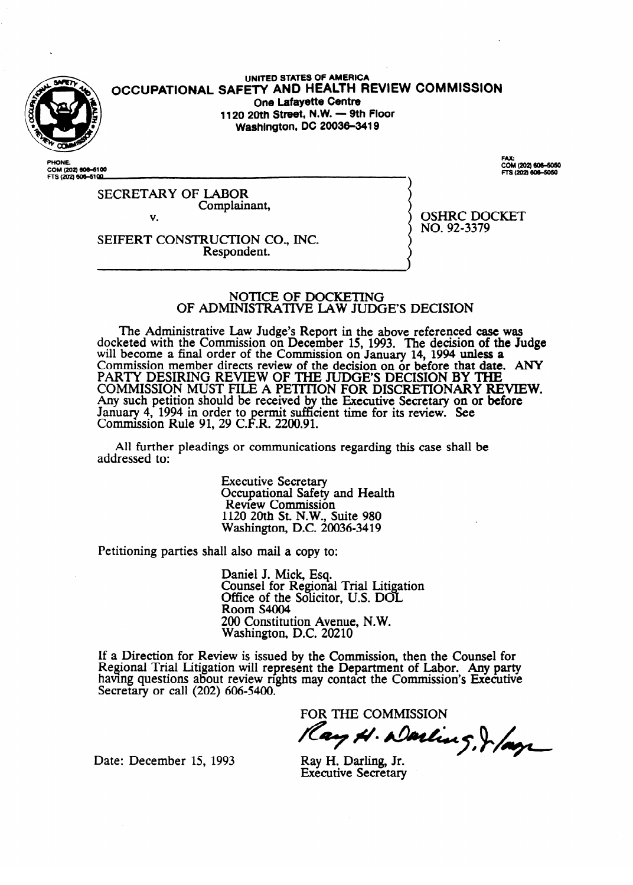

UNITED STATES OF AMERICA **OCCUPATIONAL SAFETY AND HEALTH REVIEW COMMISSION One Lafayette Centre 1120 20th Street, N.W. - 9th Floor Washington, DC 20036-3419** 

COM (202) 606-6100 FTS (202) 606-6100

.......<br>COM (202) 606–5050<br>FTS (202) 606–5050

SECRETARY OF LABOR Complainant, v.

OSHRC DOCKET NO. 92-3379

SEIFERT CONSTRUCTION CO., INC. Respondent.

# INISTRATIVE I AW ILID OF ADMIMSTFUTIVE LAW JUDGE'S DECISION

The Administrative Law Judge's Report in the above referenced case was<br>ceted with the Commission on December 15, 1993. The decision of the In docketed with the Commission on December **15,** 1993. The decision of the Judge will become a final order of the Commission on January 14, 1994 unless a Commission member directs review of the decision on or before that date. ANY PARTY DESIRING REVIEW OF THE JUDGE'S DECISION BY THE COMMISSION MOST FILE A PETITION FOR DISCRETIONARY REVIEW. Any such petition should be received by<br>January 4, 1994 in order to permit suffi January **4, 1994 in order to permit sum**<br>Commission Rule 91, 29 C.F.R. 2200.91 the Executive Secretary on or before<br>lent time for its review. See P cient time for its review. **See**   $\frac{1}{2}$ 

All further pleadings or communications regarding this case shall be addressed to: addressed to:

> Executive Secretary<br>Occupational Safety and Health Review Commission 120 20th St. N.W., St Washington, D.C. 20036-3419

Petitioning parties shall also mail a copy to: Petitioning parties shall also mail a copy to:

> Daniel J. Mick, Esq.<br>Counsel for Regional Trial Litigation Office of the Solicitor, U.S. DOL Room S4004 200 Constitution Avenue, N.W. Washington, D.C. 20210 DO%

If a Direction for Review is issued by the Commission, then the Counsel for Regional Trial Litigation will represent the Department of Labor. Any party having questions about review rights may contact the Commission's Executive Secretary or call  $(202)$  606-5400.

FOR THE COMMISSION

 $\mathscr{P}_{\bullet}$   $\mathscr{P}_{\bullet}$ **/zcT~a-l\$#~/~v** 

Date: December 15, 1993

**Executive Secretary**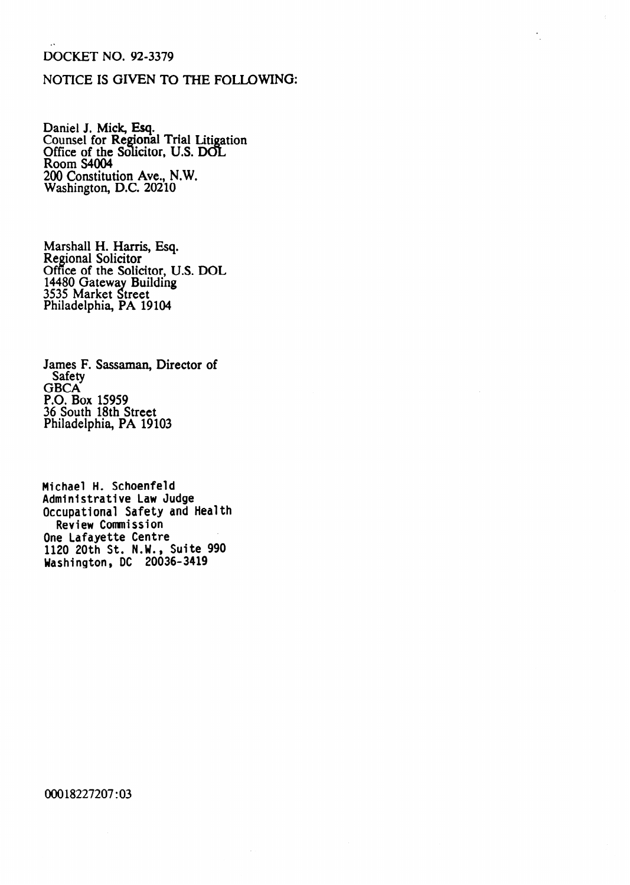#### DOCKET NO. 92-3379

# NOTICE IS GIVEN TO THE FOLLOWING:

Daniel J. Mick, Esq. Counsel for Regional Trial Litigation Office of the Solicitor, U.S. DO Room S4004 200 Constitution Ave., N.W. Washington, D.C. 20210

Marshall H. Harris, Esq. Regional Solicitor Office of the Solicitor, U.S. DOL 14480 Gateway Building 3535 Market Street Philadelphia, PA 19104

James F. Sassaman, Director of Safety GBCA P.O. Box 15959 36 South 18th Street Philadelphia, PA 19103

**Michael H. Schoenfeld Administrative Law Judge Occupational Safety and Health Review Commission One Lafayette Centre**  1120 **20th St. N.W., Suite 990 Washington, DC 20036-3419** 

00018227207 :03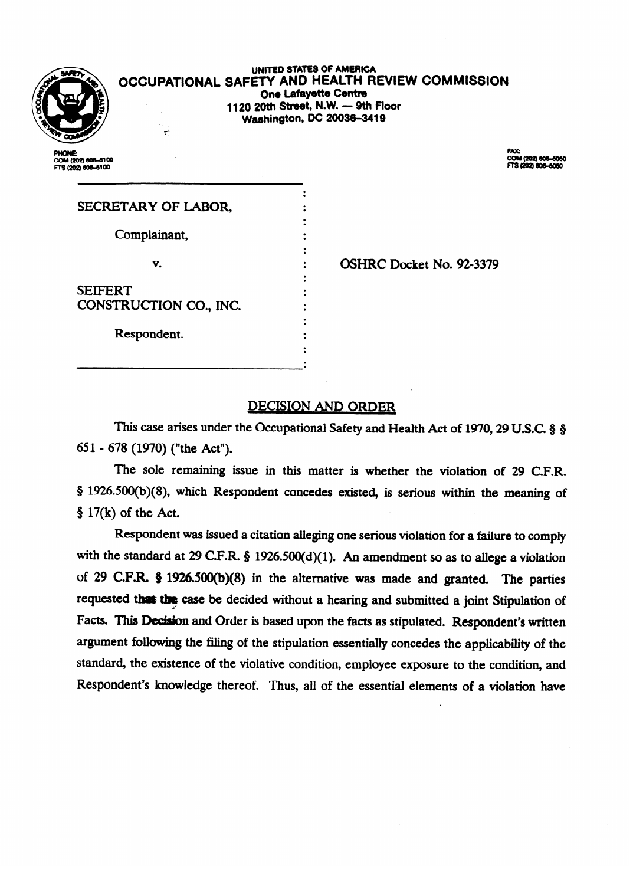| r |        |  |
|---|--------|--|
|   | ľ      |  |
| ٦ | ٠<br>г |  |

UNITED STATES OF AMERICA OCCUPATIONAL SAFETY AND HEALTH REVIEW COMMISSION **One Lafayette Centre** 1120 20th Street, N.W. - 9th Floor **Washington, DC 20036-3419** 

PHONE:<br>COM (202) 808-6100 IS (202) 606-6100

FAX: COM (202) 606-5050<br>FTS (202) 606-5050

| SECRETARY OF LABOR,    |  |  |
|------------------------|--|--|
| Complainant,           |  |  |
|                        |  |  |
| v.                     |  |  |
| <b>SEIFERT</b>         |  |  |
| CONSTRUCTION CO., INC. |  |  |
|                        |  |  |
| Respondent.            |  |  |
|                        |  |  |

τŀ,

: **OSHRC Docket No. 92-3379**<br>:

### DECISION AND ORDER

This case arises under the Occupational Safety and Health Act of 1970, 29 U.S.C. § § 651 - 678 (1970) ("the Act").

 $\sigma$  sole in this matter is whether the violation of 29 C.F.R.  $\sqrt{N}$ , which response the means within the meaning of  $$ 17(k)$  of the Act.<br>Respondent was issued a citation alleging one serious violation for a failure to comply

with the standard at 29 C.F.R. § 1926.500(d)(1). An amendment so as to allege a violation of 29 C.F.R.  $$ 1926.500(b)(8)$  in the alternative was made and granted. The parties requested that the case be decided without a hearing and submitted a joint Stipulation of Facts. This Decision and Order is based upon the facts as stipulated. Respondent's written argument following the filing of the stipulation essentially concedes the applicability of the standard, the existence of the violative condition, employee exposure to the condition, and Respondent's knowledge thereof. Thus, all of the essential elements of a violation have

 $R_{\rm eff}$  all of the essential elements of the essential elements of a violation have essential elements of a violation have  $\alpha$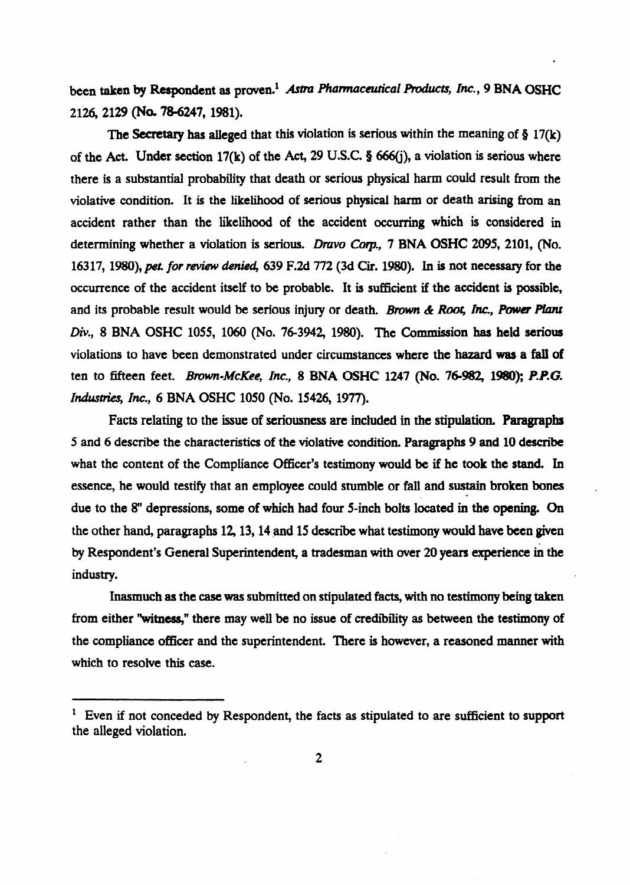been taken by Respondent as proven.<sup>1</sup> Astra Pharmaceutical Products, Inc., 9 BNA OSHC **21x2129** (Na 786247,198l).

The Secretary has alleged that this violation is serious within the meaning of  $\S 17(k)$ of the Act. Under section 17(k) of the **Act, 29 U.S.C.** 0 666(j), **a** violation is serious **where**  there is a substantial probability that death or serious physical harm could result from the violative condition. **It is** the likelihood **of serious physical** harm or death arising from an accident rather than the likelihood of the accident occurring **which** is considered in determining whether a violation is serious. Dravo Corp., 7 BNA **OSHC 2095, 2101, (No.**  16317, 1980), pet. for review denied, 639 F.2d 772 (3d Cir. 1980). In is not necessary for the occurrence of the accident itself to be probable. It is sufficient if the accident is possible, and its probable result would be serious injury or death. *Brown & Root, Inc., Power Plant Div., 8* **BNA OSHC** 1055, 1060 (No. 76-3942, 1980). The **Commission has held serious**  violations to have been demonstrated under circumstances where the hazard was a fall of ten to fifteen feet. *Brown-McKee, Inc.*, 8 BNA OSHC 1247 (No. 76-982, 1980); P.P.G. *Industries, Inc., 6 BNA OSHC 1050 (No. 15426, 1977).* 

Facts relating to the **issue of seriousness are included in the stipulation. Paragraphs**  5 and 6 describe the characteristics of the violative condition. **Paragraphs 9 and 10 describe**  what the content of the Compliance Officer's testimony would be if he took the stand. In essence, he would testify that an employee could stumble **or** fall **and sustain broken bones**  due to the 8" depressions, some of which had four 5-inch **bolts located in the opening. On**  the other hand, paragraphs 12,13,14 and 15 describe what testimony would **have been** given . by Respondent's General Superintendent, **a** tradesman with over 20 years **experience in the**  industry.

**,** 

**Inasmuch** as the case was submitted **on stipulated facts, with no testimony being taken**  from either "witness," there may well be no issue of credibility as between the testimony of the compliance officer and the superintendent. There is however, a reasoned manner **with**  which to resolve this case.

<sup>&#</sup>x27; Even if not conceded by Respondent, the facts as stipulated to are sufficient to **support**  the alleged violation.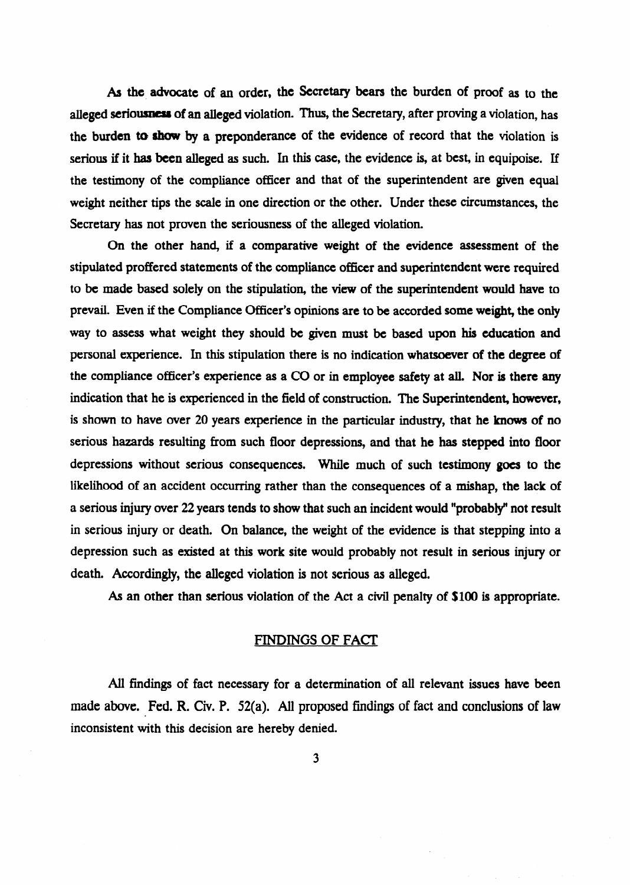As the advocate of an order, the Secretary bears the burden of proof as to the alleged seriousness of an alleged violation. Thus, the Secretary, after proving a violation, has the burden to show by a preponderance of the evidence of record that the violation is serious if it has been alleged as such. In this case, the evidence is, at best, in equipoise. If the testimony of the compliance officer and that of the superintendent are given equal weight neither tips the scale in one direction or the other. Under these circumstances, the Secretary has not proven the seriousness of the alleged violation.

On the other hand, if a comparative weight of the evidence assessment of the stipulated proffered statements of the compliance officer and superintendent were required to be made based solely on the stipulation, the view of the superintendent would have to prevail. Even if the Compliance Officer's opinions are to be accorded some weight, the only way to assess what weight they should be given must be based upon his education and personal experience. In this stipulation there is no indication whatsoever of the degree of the compliance officer's experience as a CO or in employee safety at all. Nor is there any indication that he is experienced in the field of construction. The Superintendent, however, is shown to have over 20 years experience in the particular industry, that he knows of no serious hazards resulting from such floor depressions, and that he has stepped into floor depressions without serious consequences. While much of such testimony goes to the likelihood of an accident occurring rather than the consequences of a mishap, the lack of a serious injury over 22 years tends to show that such an incident would "probably" not result in serious injury or death. On balance, the weight of the evidence is that stepping into a depression such as existed at this work site would probably not result in serious injury or death. Accordingly, the alleged violation is not serious as alleged.

As an other than serious violation of the Act a civil penalty of \$100 is appropriate.

# FINDINGS OF FACT

All findings of fact necessary for a determination of all relevant issues have been made above. Fed. R. Civ. P. 52(a). All proposed findings of fact and conclusions of law inconsistent with this decision are hereby denied.